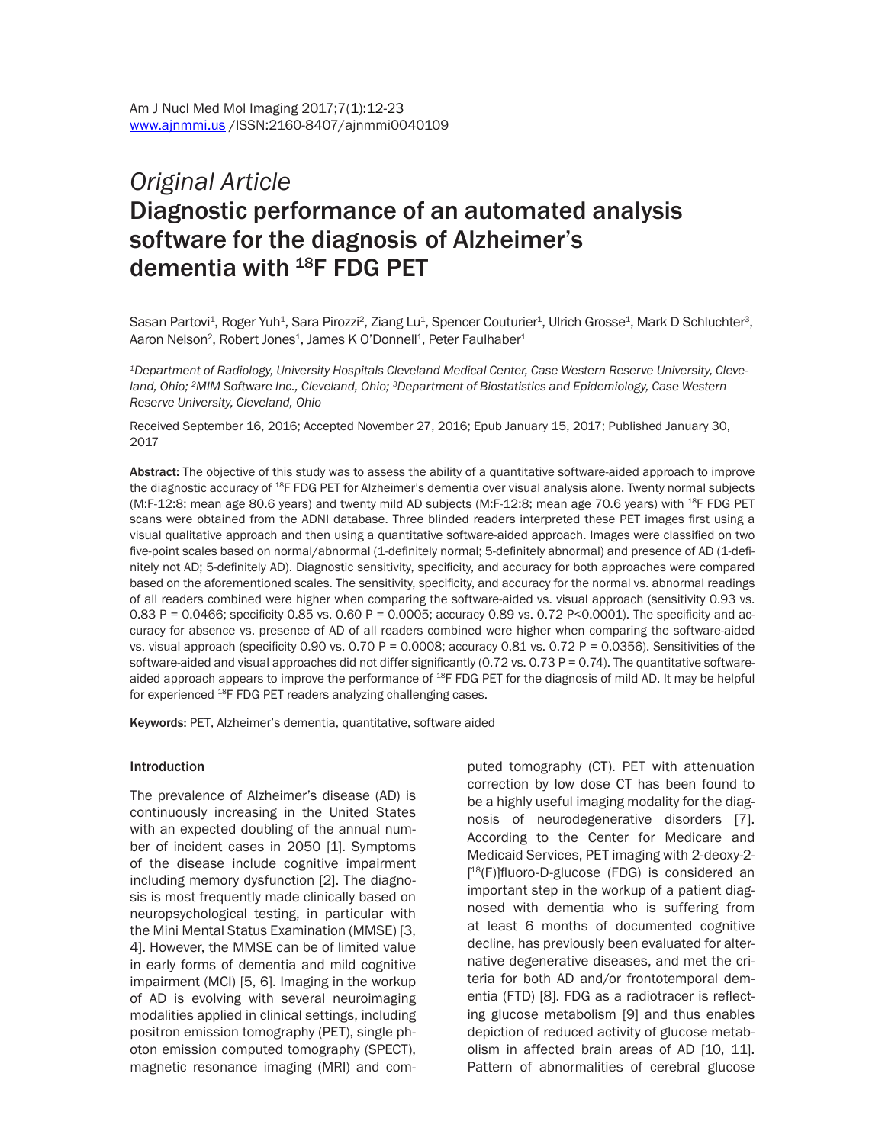# *Original Article* Diagnostic performance of an automated analysis software for the diagnosis of Alzheimer's dementia with 18F FDG PET

Sasan Partovi<sup>1</sup>, Roger Yuh<sup>1</sup>, Sara Pirozzi<sup>2</sup>, Ziang Lu<sup>1</sup>, Spencer Couturier<sup>1</sup>, Ulrich Grosse<sup>1</sup>, Mark D Schluchter<sup>3</sup>, Aaron Nelson<sup>2</sup>, Robert Jones<sup>1</sup>, James K O'Donnell<sup>1</sup>, Peter Faulhaber<sup>1</sup>

*1Department of Radiology, University Hospitals Cleveland Medical Center, Case Western Reserve University, Cleveland, Ohio; 2MIM Software Inc., Cleveland, Ohio; 3Department of Biostatistics and Epidemiology, Case Western Reserve University, Cleveland, Ohio*

Received September 16, 2016; Accepted November 27, 2016; Epub January 15, 2017; Published January 30, 2017

Abstract: The objective of this study was to assess the ability of a quantitative software-aided approach to improve the diagnostic accuracy of <sup>18</sup>F FDG PET for Alzheimer's dementia over visual analysis alone. Twenty normal subjects (M:F-12:8; mean age 80.6 years) and twenty mild AD subjects (M:F-12:8; mean age 70.6 years) with <sup>18</sup>F FDG PET scans were obtained from the ADNI database. Three blinded readers interpreted these PET images first using a visual qualitative approach and then using a quantitative software-aided approach. Images were classified on two five-point scales based on normal/abnormal (1-definitely normal; 5-definitely abnormal) and presence of AD (1-definitely not AD; 5-definitely AD). Diagnostic sensitivity, specificity, and accuracy for both approaches were compared based on the aforementioned scales. The sensitivity, specificity, and accuracy for the normal vs. abnormal readings of all readers combined were higher when comparing the software-aided vs. visual approach (sensitivity 0.93 vs. 0.83 P = 0.0466; specificity 0.85 vs. 0.60 P = 0.0005; accuracy 0.89 vs. 0.72 P<0.0001). The specificity and accuracy for absence vs. presence of AD of all readers combined were higher when comparing the software-aided vs. visual approach (specificity 0.90 vs. 0.70 P = 0.0008; accuracy 0.81 vs. 0.72 P = 0.0356). Sensitivities of the software-aided and visual approaches did not differ significantly (0.72 vs. 0.73 P = 0.74). The quantitative softwareaided approach appears to improve the performance of <sup>18</sup>F FDG PET for the diagnosis of mild AD. It may be helpful for experienced <sup>18</sup>F FDG PET readers analyzing challenging cases.

Keywords: PET, Alzheimer's dementia, quantitative, software aided

#### Introduction

The prevalence of Alzheimer's disease (AD) is continuously increasing in the United States with an expected doubling of the annual number of incident cases in 2050 [1]. Symptoms of the disease include cognitive impairment including memory dysfunction [2]. The diagnosis is most frequently made clinically based on neuropsychological testing, in particular with the Mini Mental Status Examination (MMSE) [3, 4]. However, the MMSE can be of limited value in early forms of dementia and mild cognitive impairment (MCI) [5, 6]. Imaging in the workup of AD is evolving with several neuroimaging modalities applied in clinical settings, including positron emission tomography (PET), single photon emission computed tomography (SPECT), magnetic resonance imaging (MRI) and computed tomography (CT). PET with attenuation correction by low dose CT has been found to be a highly useful imaging modality for the diagnosis of neurodegenerative disorders [7]. According to the Center for Medicare and Medicaid Services, PET imaging with 2-deoxy-2- [ <sup>18</sup>(F)]fluoro-D-glucose (FDG) is considered an important step in the workup of a patient diagnosed with dementia who is suffering from at least 6 months of documented cognitive decline, has previously been evaluated for alternative degenerative diseases, and met the criteria for both AD and/or frontotemporal dementia (FTD) [8]. FDG as a radiotracer is reflecting glucose metabolism [9] and thus enables depiction of reduced activity of glucose metabolism in affected brain areas of AD [10, 11]. Pattern of abnormalities of cerebral glucose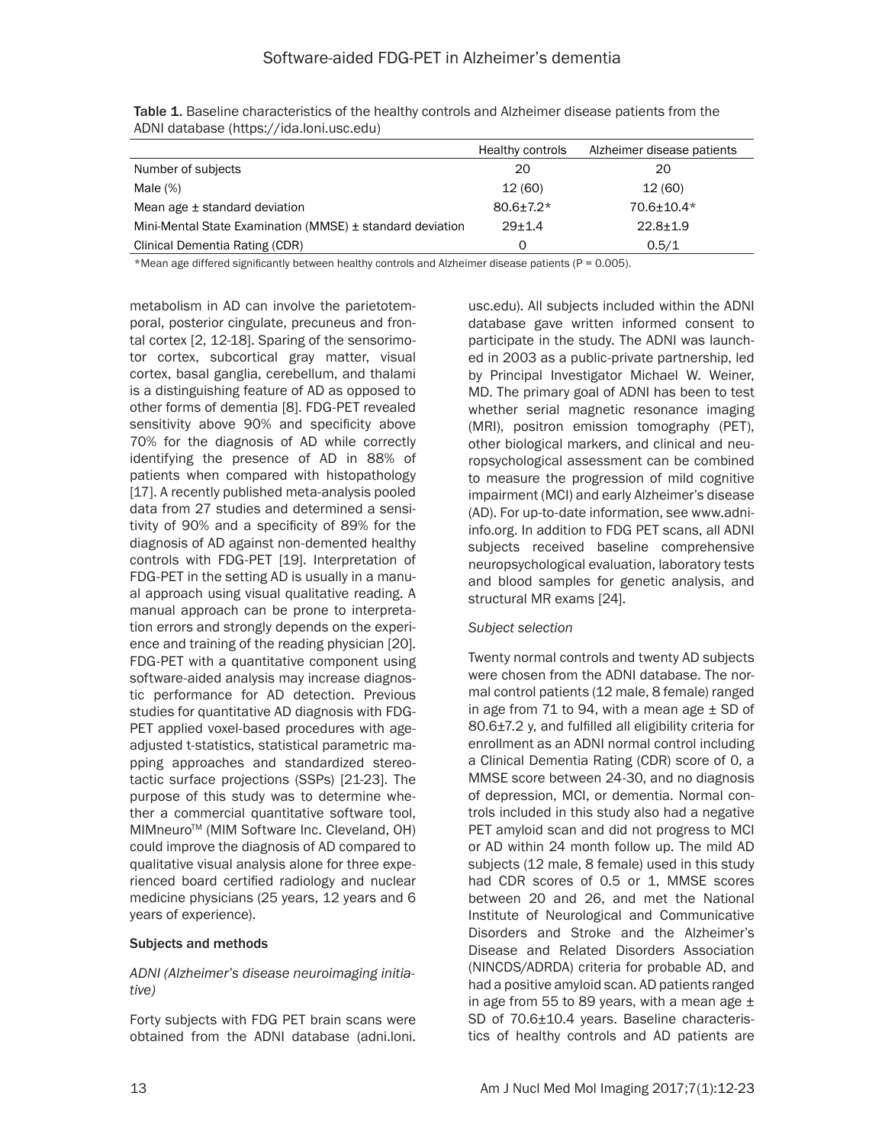|                                                           | Healthy controls | Alzheimer disease patients |
|-----------------------------------------------------------|------------------|----------------------------|
| Number of subjects                                        | 20               | 20                         |
| Male $(\%)$                                               | 12(60)           | 12(60)                     |
| Mean age $\pm$ standard deviation                         | $80.6 \pm 7.2*$  | $70.6 + 10.4*$             |
| Mini-Mental State Examination (MMSE) ± standard deviation | $29+1.4$         | $22.8 + 1.9$               |
| Clinical Dementia Rating (CDR)                            | Ω                | 0.5/1                      |

Table 1. Baseline characteristics of the healthy controls and Alzheimer disease patients from the ADNI database (https://ida.loni.usc.edu)

\*Mean age differed significantly between healthy controls and Alzheimer disease patients (P = 0.005).

metabolism in AD can involve the parietotemporal, posterior cingulate, precuneus and frontal cortex [2, 12-18]. Sparing of the sensorimotor cortex, subcortical gray matter, visual cortex, basal ganglia, cerebellum, and thalami is a distinguishing feature of AD as opposed to other forms of dementia [8]. FDG-PET revealed sensitivity above 90% and specificity above 70% for the diagnosis of AD while correctly identifying the presence of AD in 88% of patients when compared with histopathology [17]. A recently published meta-analysis pooled data from 27 studies and determined a sensitivity of 90% and a specificity of 89% for the diagnosis of AD against non-demented healthy controls with FDG-PET [19]. Interpretation of FDG-PET in the setting AD is usually in a manual approach using visual qualitative reading. A manual approach can be prone to interpretation errors and strongly depends on the experience and training of the reading physician [20]. FDG-PET with a quantitative component using software-aided analysis may increase diagnostic performance for AD detection. Previous studies for quantitative AD diagnosis with FDG-PET applied voxel-based procedures with ageadjusted t-statistics, statistical parametric mapping approaches and standardized stereotactic surface projections (SSPs) [21-23]. The purpose of this study was to determine whether a commercial quantitative software tool, MIMneuro<sup>™</sup> (MIM Software Inc. Cleveland, OH) could improve the diagnosis of AD compared to qualitative visual analysis alone for three experienced board certified radiology and nuclear medicine physicians (25 years, 12 years and 6 years of experience).

#### Subjects and methods

*ADNI (Alzheimer's disease neuroimaging initiative)*

Forty subjects with FDG PET brain scans were obtained from the ADNI database (adni.loni. usc.edu). All subjects included within the ADNI database gave written informed consent to participate in the study. The ADNI was launched in 2003 as a public-private partnership, led by Principal Investigator Michael W. Weiner, MD. The primary goal of ADNI has been to test whether serial magnetic resonance imaging (MRI), positron emission tomography (PET), other biological markers, and clinical and neuropsychological assessment can be combined to measure the progression of mild cognitive impairment (MCI) and early Alzheimer's disease (AD). For up-to-date information, see www.adniinfo.org. In addition to FDG PET scans, all ADNI subjects received baseline comprehensive neuropsychological evaluation, laboratory tests and blood samples for genetic analysis, and structural MR exams [24].

#### *Subject selection*

Twenty normal controls and twenty AD subjects were chosen from the ADNI database. The normal control patients (12 male, 8 female) ranged in age from 71 to 94, with a mean age  $\pm$  SD of 80.6±7.2 y, and fulfilled all eligibility criteria for enrollment as an ADNI normal control including a Clinical Dementia Rating (CDR) score of 0, a MMSE score between 24-30, and no diagnosis of depression, MCI, or dementia. Normal controls included in this study also had a negative PET amyloid scan and did not progress to MCI or AD within 24 month follow up. The mild AD subjects (12 male, 8 female) used in this study had CDR scores of 0.5 or 1, MMSE scores between 20 and 26, and met the National Institute of Neurological and Communicative Disorders and Stroke and the Alzheimer's Disease and Related Disorders Association (NINCDS/ADRDA) criteria for probable AD, and had a positive amyloid scan. AD patients ranged in age from 55 to 89 years, with a mean age  $\pm$ SD of 70.6±10.4 years. Baseline characteristics of healthy controls and AD patients are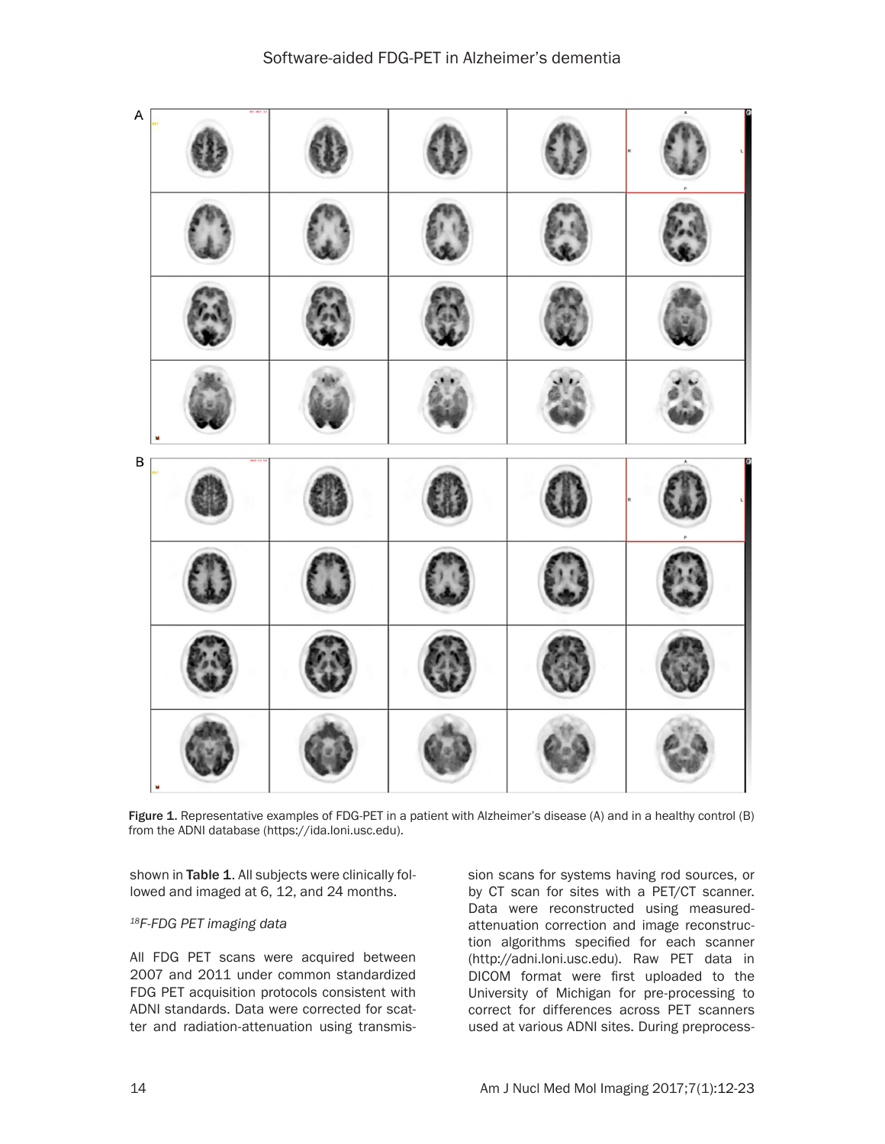

Figure 1. Representative examples of FDG-PET in a patient with Alzheimer's disease (A) and in a healthy control (B) from the ADNI database (https://ida.loni.usc.edu).

shown in Table 1. All subjects were clinically followed and imaged at 6, 12, and 24 months.

#### *18F-FDG PET imaging data*

All FDG PET scans were acquired between 2007 and 2011 under common standardized FDG PET acquisition protocols consistent with ADNI standards. Data were corrected for scatter and radiation-attenuation using transmis-

sion scans for systems having rod sources, or by CT scan for sites with a PET/CT scanner. Data were reconstructed using measuredattenuation correction and image reconstruction algorithms specified for each scanner (http://adni.loni.usc.edu). Raw PET data in DICOM format were first uploaded to the University of Michigan for pre-processing to correct for differences across PET scanners used at various ADNI sites. During preprocess-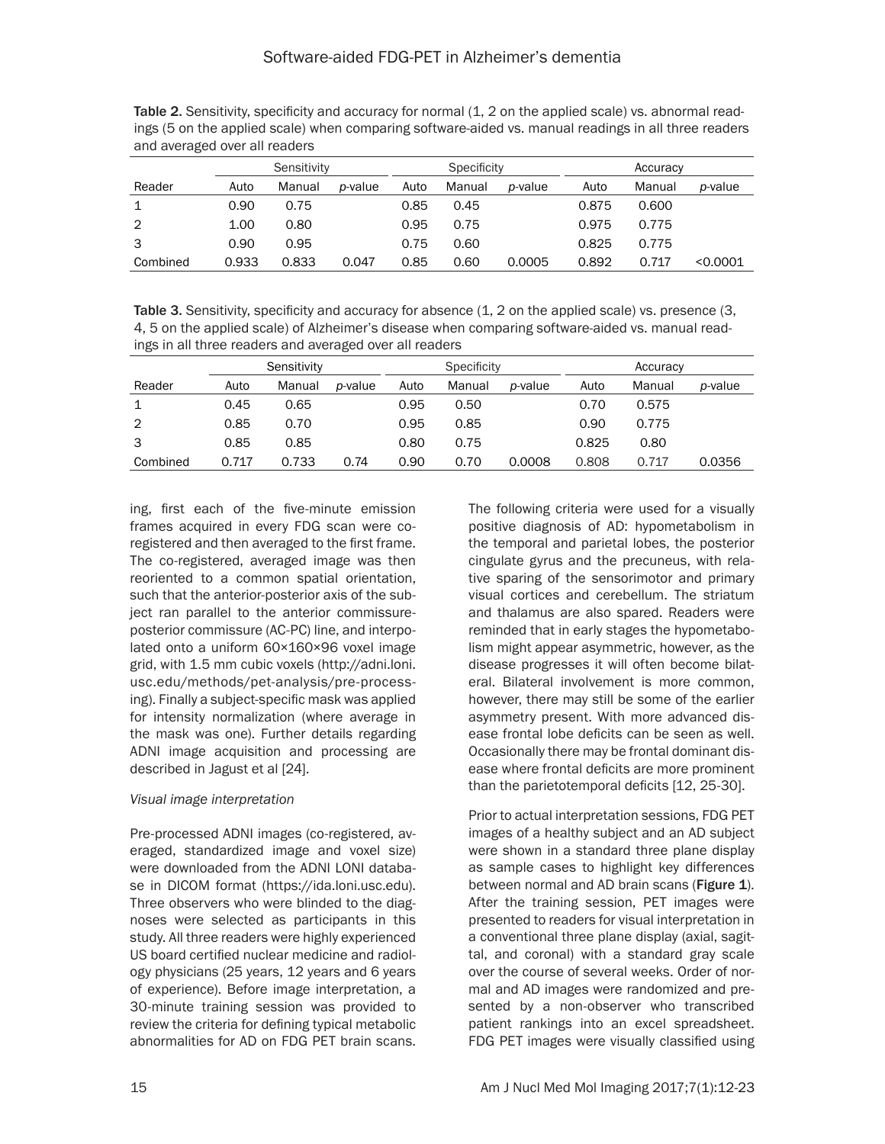Table 2. Sensitivity, specificity and accuracy for normal  $(1, 2 \text{ on the applied scale})$  vs. abnormal readings (5 on the applied scale) when comparing software-aided vs. manual readings in all three readers and averaged over all readers

|          | Sensitivity |        | <b>Specificity</b> |      |        | Accuracy        |       |        |          |
|----------|-------------|--------|--------------------|------|--------|-----------------|-------|--------|----------|
| Reader   | Auto        | Manual | <i>p</i> -value    | Auto | Manual | <i>p</i> -value | Auto  | Manual | p-value  |
| 1        | 0.90        | 0.75   |                    | 0.85 | 0.45   |                 | 0.875 | 0.600  |          |
| 2        | 1.00        | 0.80   |                    | 0.95 | 0.75   |                 | 0.975 | 0.775  |          |
| 3        | 0.90        | 0.95   |                    | 0.75 | 0.60   |                 | 0.825 | 0.775  |          |
| Combined | 0.933       | 0.833  | 0.047              | 0.85 | 0.60   | 0.0005          | 0.892 | 0.717  | < 0.0001 |

Table 3. Sensitivity, specificity and accuracy for absence (1, 2 on the applied scale) vs. presence (3, 4, 5 on the applied scale) of Alzheimer's disease when comparing software-aided vs. manual readings in all three readers and averaged over all readers

|                | Sensitivity |        |                 | Specificity |        |                 | Accuracy |        |         |
|----------------|-------------|--------|-----------------|-------------|--------|-----------------|----------|--------|---------|
| Reader         | Auto        | Manual | <i>p</i> -value | Auto        | Manual | <i>p</i> -value | Auto     | Manual | p-value |
| 1              | 0.45        | 0.65   |                 | 0.95        | 0.50   |                 | 0.70     | 0.575  |         |
| $\overline{2}$ | 0.85        | 0.70   |                 | 0.95        | 0.85   |                 | 0.90     | 0.775  |         |
| 3              | 0.85        | 0.85   |                 | 0.80        | 0.75   |                 | 0.825    | 0.80   |         |
| Combined       | 0.717       | 0.733  | 0.74            | 0.90        | 0.70   | 0.0008          | 0.808    | 0.717  | 0.0356  |

ing, first each of the five-minute emission frames acquired in every FDG scan were coregistered and then averaged to the first frame. The co-registered, averaged image was then reoriented to a common spatial orientation, such that the anterior-posterior axis of the subject ran parallel to the anterior commissureposterior commissure (AC-PC) line, and interpolated onto a uniform 60×160×96 voxel image grid, with 1.5 mm cubic voxels (http://adni.loni. usc.edu/methods/pet-analysis/pre-processing). Finally a subject-specific mask was applied for intensity normalization (where average in the mask was one). Further details regarding ADNI image acquisition and processing are described in Jagust et al [24].

## *Visual image interpretation*

Pre-processed ADNI images (co-registered, averaged, standardized image and voxel size) were downloaded from the ADNI LONI database in DICOM format (https://ida.loni.usc.edu). Three observers who were blinded to the diagnoses were selected as participants in this study. All three readers were highly experienced US board certified nuclear medicine and radiology physicians (25 years, 12 years and 6 years of experience). Before image interpretation, a 30-minute training session was provided to review the criteria for defining typical metabolic abnormalities for AD on FDG PET brain scans.

The following criteria were used for a visually positive diagnosis of AD: hypometabolism in the temporal and parietal lobes, the posterior cingulate gyrus and the precuneus, with relative sparing of the sensorimotor and primary visual cortices and cerebellum. The striatum and thalamus are also spared. Readers were reminded that in early stages the hypometabolism might appear asymmetric, however, as the disease progresses it will often become bilateral. Bilateral involvement is more common, however, there may still be some of the earlier asymmetry present. With more advanced disease frontal lobe deficits can be seen as well. Occasionally there may be frontal dominant disease where frontal deficits are more prominent than the parietotemporal deficits [12, 25-30].

Prior to actual interpretation sessions, FDG PET images of a healthy subject and an AD subject were shown in a standard three plane display as sample cases to highlight key differences between normal and AD brain scans (Figure 1). After the training session, PET images were presented to readers for visual interpretation in a conventional three plane display (axial, sagittal, and coronal) with a standard gray scale over the course of several weeks. Order of normal and AD images were randomized and presented by a non-observer who transcribed patient rankings into an excel spreadsheet. FDG PET images were visually classified using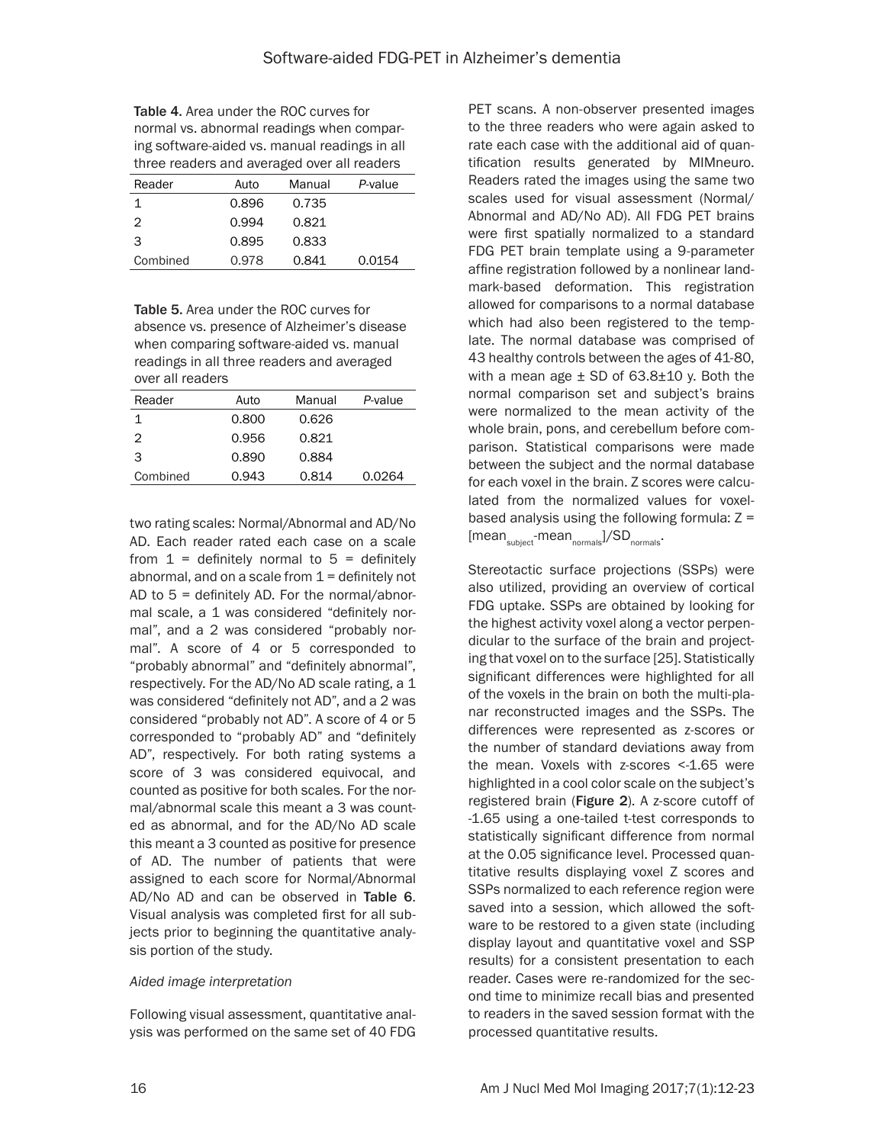Table 4. Area under the ROC curves for normal vs. abnormal readings when comparing software-aided vs. manual readings in all three readers and averaged over all readers

| Reader   | Auto  | Manual | P-value |
|----------|-------|--------|---------|
|          | 0.896 | 0.735  |         |
| 2        | 0.994 | 0.821  |         |
| З        | 0.895 | 0.833  |         |
| Combined | 0.978 | 0.841  | 0.0154  |

Table 5. Area under the ROC curves for absence vs. presence of Alzheimer's disease when comparing software-aided vs. manual readings in all three readers and averaged over all readers

| Reader        | Auto  | Manual | P-value |
|---------------|-------|--------|---------|
| 1             | 0.800 | 0.626  |         |
| $\mathcal{P}$ | 0.956 | 0.821  |         |
| 3             | 0.890 | 0.884  |         |
| Combined      | 0.943 | 0.814  | 0.0264  |
|               |       |        |         |

two rating scales: Normal/Abnormal and AD/No AD. Each reader rated each case on a scale from  $1 =$  definitely normal to  $5 =$  definitely abnormal, and on a scale from  $1 =$  definitely not AD to 5 = definitely AD. For the normal/abnormal scale, a 1 was considered "definitely normal", and a 2 was considered "probably normal". A score of 4 or 5 corresponded to "probably abnormal" and "definitely abnormal", respectively. For the AD/No AD scale rating, a 1 was considered "definitely not AD", and a 2 was considered "probably not AD". A score of 4 or 5 corresponded to "probably AD" and "definitely AD", respectively. For both rating systems a score of 3 was considered equivocal, and counted as positive for both scales. For the normal/abnormal scale this meant a 3 was counted as abnormal, and for the AD/No AD scale this meant a 3 counted as positive for presence of AD. The number of patients that were assigned to each score for Normal/Abnormal AD/No AD and can be observed in Table 6. Visual analysis was completed first for all subjects prior to beginning the quantitative analysis portion of the study.

#### *Aided image interpretation*

Following visual assessment, quantitative analysis was performed on the same set of 40 FDG

PET scans. A non-observer presented images to the three readers who were again asked to rate each case with the additional aid of quantification results generated by MIMneuro. Readers rated the images using the same two scales used for visual assessment (Normal/ Abnormal and AD/No AD). All FDG PET brains were first spatially normalized to a standard FDG PET brain template using a 9-parameter affine registration followed by a nonlinear landmark-based deformation. This registration allowed for comparisons to a normal database which had also been registered to the template. The normal database was comprised of 43 healthy controls between the ages of 41-80, with a mean age  $\pm$  SD of 63.8 $\pm$ 10 y. Both the normal comparison set and subject's brains were normalized to the mean activity of the whole brain, pons, and cerebellum before comparison. Statistical comparisons were made between the subject and the normal database for each voxel in the brain. Z scores were calculated from the normalized values for voxelbased analysis using the following formula:  $Z =$  $[mean_{\text{subinct}}\text{-}mean_{\text{normals}}]/SD_{\text{normals}}.$ 

Stereotactic surface projections (SSPs) were also utilized, providing an overview of cortical FDG uptake. SSPs are obtained by looking for the highest activity voxel along a vector perpendicular to the surface of the brain and projecting that voxel on to the surface [25]. Statistically significant differences were highlighted for all of the voxels in the brain on both the multi-planar reconstructed images and the SSPs. The differences were represented as z-scores or the number of standard deviations away from the mean. Voxels with z-scores <-1.65 were highlighted in a cool color scale on the subject's registered brain (Figure 2). A z-score cutoff of -1.65 using a one-tailed t-test corresponds to statistically significant difference from normal at the 0.05 significance level. Processed quantitative results displaying voxel Z scores and SSPs normalized to each reference region were saved into a session, which allowed the software to be restored to a given state (including display layout and quantitative voxel and SSP results) for a consistent presentation to each reader. Cases were re-randomized for the second time to minimize recall bias and presented to readers in the saved session format with the processed quantitative results.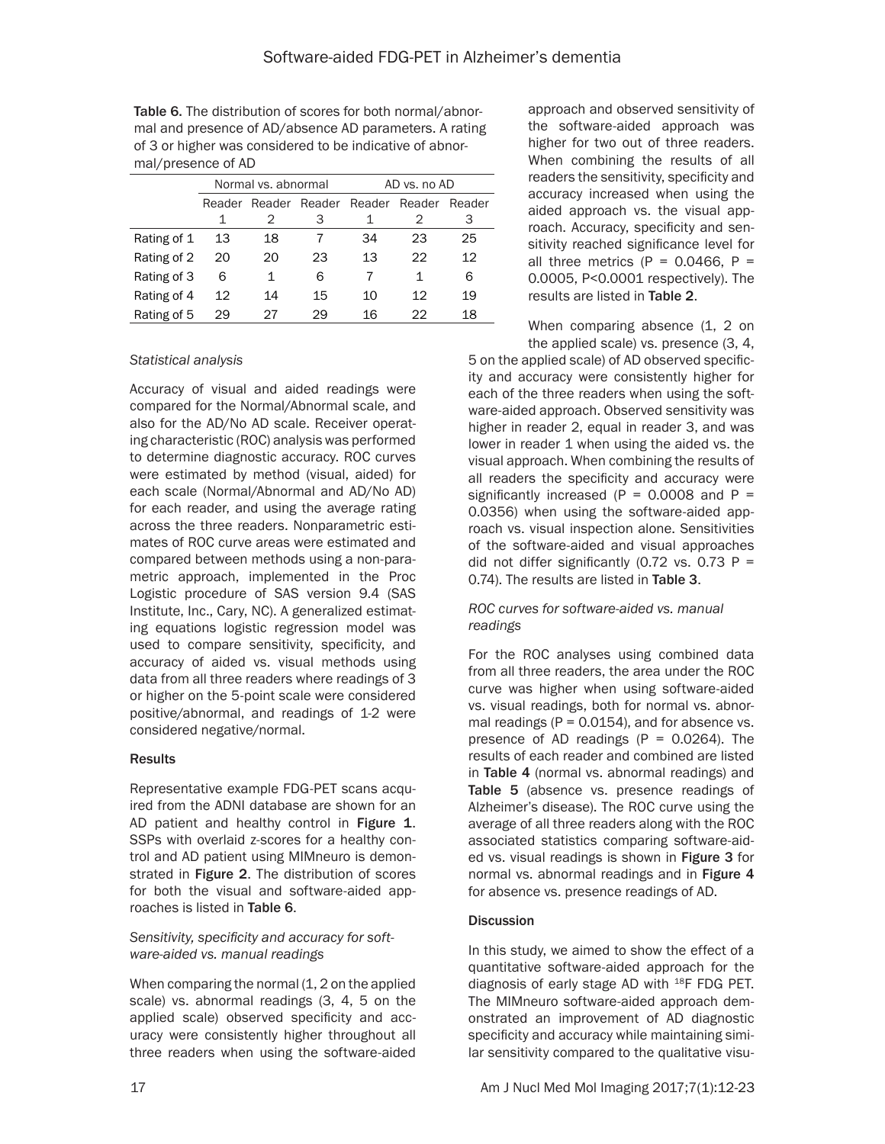Table 6. The distribution of scores for both normal/abnormal and presence of AD/absence AD parameters. A rating of 3 or higher was considered to be indicative of abnormal/presence of AD

|             |                                | Normal vs. abnormal |    | AD vs. no AD |        |    |  |
|-------------|--------------------------------|---------------------|----|--------------|--------|----|--|
|             | Reader Reader Reader<br>Reader |                     |    | Reader       | Reader |    |  |
|             |                                | 2                   | 3  |              | 2      | З  |  |
| Rating of 1 | 13                             | 18                  |    | 34           | 23     | 25 |  |
| Rating of 2 | 20                             | 20                  | 23 | 13           | 22     | 12 |  |
| Rating of 3 | 6                              | 1                   | 6  |              | 1      | 6  |  |
| Rating of 4 | 12                             | 14                  | 15 | 10           | 12     | 19 |  |
| Rating of 5 | 29                             | 27                  | 29 | 16           | 22     | 18 |  |

#### *Statistical analysis*

Accuracy of visual and aided readings were compared for the Normal/Abnormal scale, and also for the AD/No AD scale. Receiver operating characteristic (ROC) analysis was performed to determine diagnostic accuracy. ROC curves were estimated by method (visual, aided) for each scale (Normal/Abnormal and AD/No AD) for each reader, and using the average rating across the three readers. Nonparametric estimates of ROC curve areas were estimated and compared between methods using a non-parametric approach, implemented in the Proc Logistic procedure of SAS version 9.4 (SAS Institute, Inc., Cary, NC). A generalized estimating equations logistic regression model was used to compare sensitivity, specificity, and accuracy of aided vs. visual methods using data from all three readers where readings of 3 or higher on the 5-point scale were considered positive/abnormal, and readings of 1-2 were considered negative/normal.

#### **Results**

Representative example FDG-PET scans acquired from the ADNI database are shown for an AD patient and healthy control in Figure 1. SSPs with overlaid z-scores for a healthy control and AD patient using MIMneuro is demonstrated in Figure 2. The distribution of scores for both the visual and software-aided approaches is listed in Table 6.

#### *Sensitivity, specificity and accuracy for software-aided vs. manual readings*

When comparing the normal (1, 2 on the applied scale) vs. abnormal readings (3, 4, 5 on the applied scale) observed specificity and accuracy were consistently higher throughout all three readers when using the software-aided approach and observed sensitivity of the software-aided approach was higher for two out of three readers. When combining the results of all readers the sensitivity, specificity and accuracy increased when using the aided approach vs. the visual approach. Accuracy, specificity and sensitivity reached significance level for all three metrics (P =  $0.0466$ , P = 0.0005, P<0.0001 respectively). The results are listed in Table 2.

When comparing absence (1, 2 on the applied scale) vs. presence (3, 4,

5 on the applied scale) of AD observed specificity and accuracy were consistently higher for each of the three readers when using the software-aided approach. Observed sensitivity was higher in reader 2, equal in reader 3, and was lower in reader 1 when using the aided vs. the visual approach. When combining the results of all readers the specificity and accuracy were significantly increased ( $P = 0.0008$  and  $P =$ 0.0356) when using the software-aided approach vs. visual inspection alone. Sensitivities of the software-aided and visual approaches did not differ significantly (0.72 vs. 0.73  $P =$ 0.74). The results are listed in Table 3.

### *ROC curves for software-aided vs. manual readings*

For the ROC analyses using combined data from all three readers, the area under the ROC curve was higher when using software-aided vs. visual readings, both for normal vs. abnormal readings ( $P = 0.0154$ ), and for absence vs. presence of AD readings  $(P = 0.0264)$ . The results of each reader and combined are listed in Table 4 (normal vs. abnormal readings) and Table 5 (absence vs. presence readings of Alzheimer's disease). The ROC curve using the average of all three readers along with the ROC associated statistics comparing software-aided vs. visual readings is shown in Figure 3 for normal vs. abnormal readings and in Figure 4 for absence vs. presence readings of AD.

#### **Discussion**

In this study, we aimed to show the effect of a quantitative software-aided approach for the diagnosis of early stage AD with 18F FDG PET. The MIMneuro software-aided approach demonstrated an improvement of AD diagnostic specificity and accuracy while maintaining similar sensitivity compared to the qualitative visu-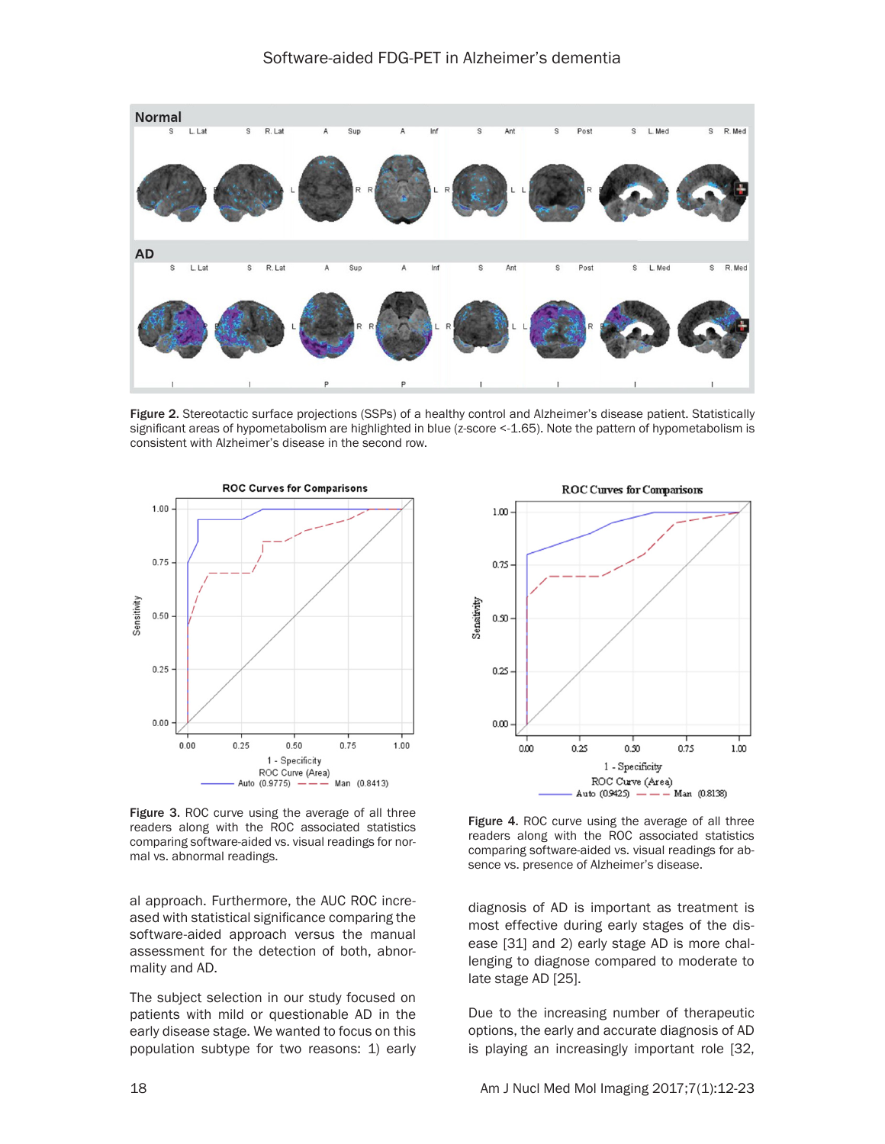

Figure 2. Stereotactic surface projections (SSPs) of a healthy control and Alzheimer's disease patient. Statistically significant areas of hypometabolism are highlighted in blue (z-score <-1.65). Note the pattern of hypometabolism is consistent with Alzheimer's disease in the second row.



Figure 3. ROC curve using the average of all three readers along with the ROC associated statistics comparing software-aided vs. visual readings for normal vs. abnormal readings.

al approach. Furthermore, the AUC ROC increased with statistical significance comparing the software-aided approach versus the manual assessment for the detection of both, abnormality and AD.

The subject selection in our study focused on patients with mild or questionable AD in the early disease stage. We wanted to focus on this population subtype for two reasons: 1) early



Figure 4. ROC curve using the average of all three readers along with the ROC associated statistics comparing software-aided vs. visual readings for absence vs. presence of Alzheimer's disease.

diagnosis of AD is important as treatment is most effective during early stages of the disease [31] and 2) early stage AD is more challenging to diagnose compared to moderate to late stage AD [25].

Due to the increasing number of therapeutic options, the early and accurate diagnosis of AD is playing an increasingly important role [32,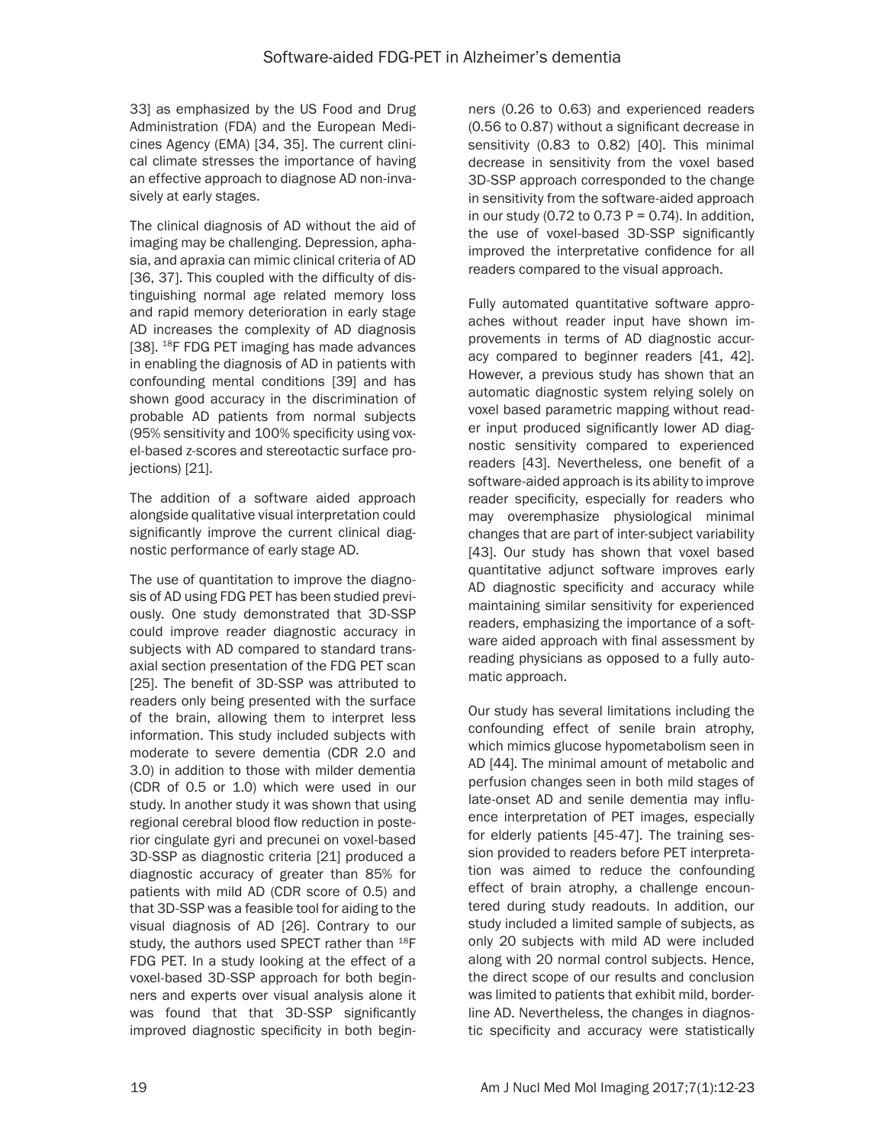33] as emphasized by the US Food and Drug Administration (FDA) and the European Medicines Agency (EMA) [34, 35]. The current clinical climate stresses the importance of having an effective approach to diagnose AD non-invasively at early stages.

The clinical diagnosis of AD without the aid of imaging may be challenging. Depression, aphasia, and apraxia can mimic clinical criteria of AD [36, 37]. This coupled with the difficulty of distinguishing normal age related memory loss and rapid memory deterioration in early stage AD increases the complexity of AD diagnosis [38]. <sup>18</sup>F FDG PET imaging has made advances in enabling the diagnosis of AD in patients with confounding mental conditions [39] and has shown good accuracy in the discrimination of probable AD patients from normal subjects (95% sensitivity and 100% specificity using voxel-based z-scores and stereotactic surface projections) [21].

The addition of a software aided approach alongside qualitative visual interpretation could significantly improve the current clinical diagnostic performance of early stage AD.

The use of quantitation to improve the diagnosis of AD using FDG PET has been studied previously. One study demonstrated that 3D-SSP could improve reader diagnostic accuracy in subjects with AD compared to standard transaxial section presentation of the FDG PET scan [25]. The benefit of 3D-SSP was attributed to readers only being presented with the surface of the brain, allowing them to interpret less information. This study included subjects with moderate to severe dementia (CDR 2.0 and 3.0) in addition to those with milder dementia (CDR of 0.5 or 1.0) which were used in our study. In another study it was shown that using regional cerebral blood flow reduction in posterior cingulate gyri and precunei on voxel-based 3D-SSP as diagnostic criteria [21] produced a diagnostic accuracy of greater than 85% for patients with mild AD (CDR score of 0.5) and that 3D-SSP was a feasible tool for aiding to the visual diagnosis of AD [26]. Contrary to our study, the authors used SPECT rather than <sup>18</sup>F FDG PET. In a study looking at the effect of a voxel-based 3D-SSP approach for both beginners and experts over visual analysis alone it was found that that 3D-SSP significantly improved diagnostic specificity in both begin-

ners (0.26 to 0.63) and experienced readers (0.56 to 0.87) without a significant decrease in sensitivity (0.83 to 0.82) [40]. This minimal decrease in sensitivity from the voxel based 3D-SSP approach corresponded to the change in sensitivity from the software-aided approach in our study (0.72 to 0.73  $P = 0.74$ ). In addition, the use of voxel-based 3D-SSP significantly improved the interpretative confidence for all readers compared to the visual approach.

Fully automated quantitative software approaches without reader input have shown improvements in terms of AD diagnostic accuracy compared to beginner readers [41, 42]. However, a previous study has shown that an automatic diagnostic system relying solely on voxel based parametric mapping without reader input produced significantly lower AD diagnostic sensitivity compared to experienced readers [43]. Nevertheless, one benefit of a software-aided approach is its ability to improve reader specificity, especially for readers who may overemphasize physiological minimal changes that are part of inter-subject variability [43]. Our study has shown that voxel based quantitative adjunct software improves early AD diagnostic specificity and accuracy while maintaining similar sensitivity for experienced readers, emphasizing the importance of a software aided approach with final assessment by reading physicians as opposed to a fully automatic approach.

Our study has several limitations including the confounding effect of senile brain atrophy, which mimics glucose hypometabolism seen in AD [44]. The minimal amount of metabolic and perfusion changes seen in both mild stages of late-onset AD and senile dementia may influence interpretation of PET images, especially for elderly patients [45-47]. The training session provided to readers before PET interpretation was aimed to reduce the confounding effect of brain atrophy, a challenge encountered during study readouts. In addition, our study included a limited sample of subjects, as only 20 subjects with mild AD were included along with 20 normal control subjects. Hence, the direct scope of our results and conclusion was limited to patients that exhibit mild, borderline AD. Nevertheless, the changes in diagnostic specificity and accuracy were statistically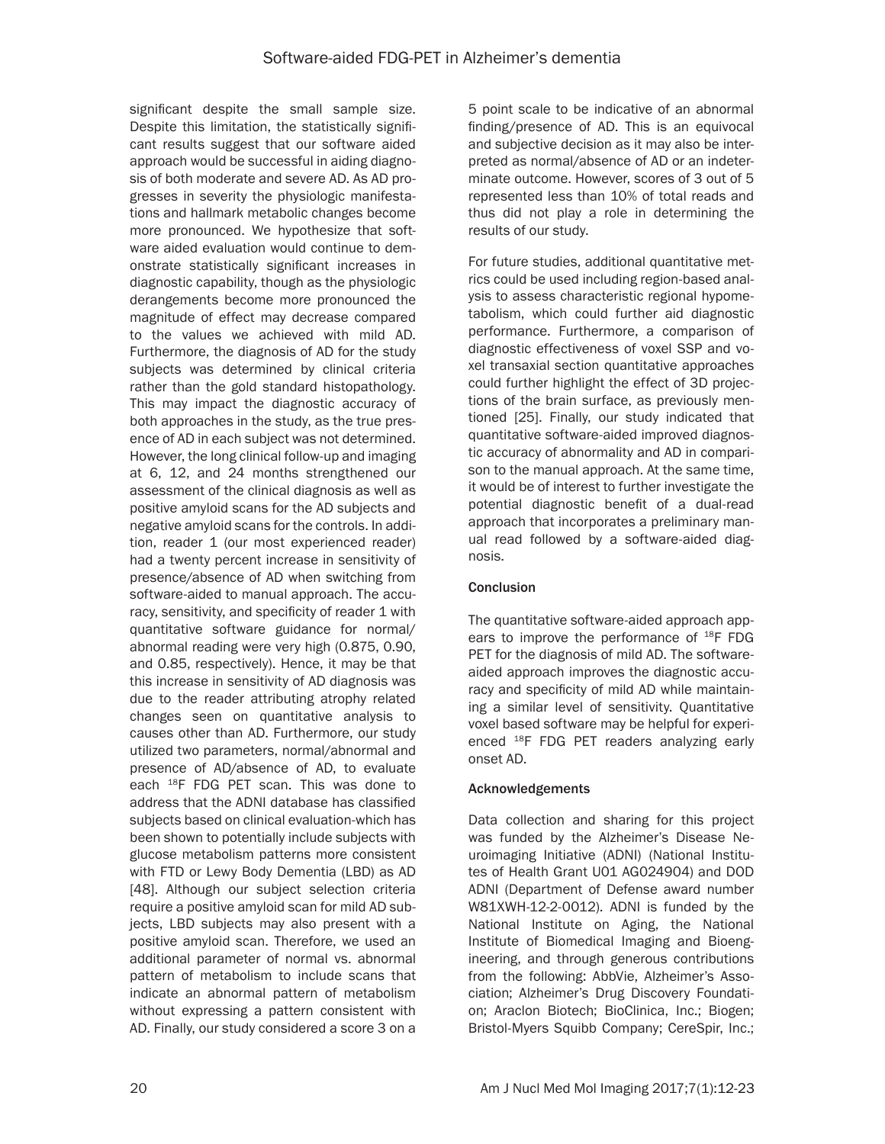significant despite the small sample size. Despite this limitation, the statistically significant results suggest that our software aided approach would be successful in aiding diagnosis of both moderate and severe AD. As AD progresses in severity the physiologic manifestations and hallmark metabolic changes become more pronounced. We hypothesize that software aided evaluation would continue to demonstrate statistically significant increases in diagnostic capability, though as the physiologic derangements become more pronounced the magnitude of effect may decrease compared to the values we achieved with mild AD. Furthermore, the diagnosis of AD for the study subjects was determined by clinical criteria rather than the gold standard histopathology. This may impact the diagnostic accuracy of both approaches in the study, as the true presence of AD in each subject was not determined. However, the long clinical follow-up and imaging at 6, 12, and 24 months strengthened our assessment of the clinical diagnosis as well as positive amyloid scans for the AD subjects and negative amyloid scans for the controls. In addition, reader 1 (our most experienced reader) had a twenty percent increase in sensitivity of presence/absence of AD when switching from software-aided to manual approach. The accuracy, sensitivity, and specificity of reader 1 with quantitative software guidance for normal/ abnormal reading were very high (0.875, 0.90, and 0.85, respectively). Hence, it may be that this increase in sensitivity of AD diagnosis was due to the reader attributing atrophy related changes seen on quantitative analysis to causes other than AD. Furthermore, our study utilized two parameters, normal/abnormal and presence of AD/absence of AD, to evaluate each <sup>18</sup>F FDG PET scan. This was done to address that the ADNI database has classified subjects based on clinical evaluation-which has been shown to potentially include subjects with glucose metabolism patterns more consistent with FTD or Lewy Body Dementia (LBD) as AD [48]. Although our subject selection criteria require a positive amyloid scan for mild AD subjects, LBD subjects may also present with a positive amyloid scan. Therefore, we used an additional parameter of normal vs. abnormal pattern of metabolism to include scans that indicate an abnormal pattern of metabolism without expressing a pattern consistent with AD. Finally, our study considered a score 3 on a

5 point scale to be indicative of an abnormal finding/presence of AD. This is an equivocal and subjective decision as it may also be interpreted as normal/absence of AD or an indeterminate outcome. However, scores of 3 out of 5 represented less than 10% of total reads and thus did not play a role in determining the results of our study.

For future studies, additional quantitative metrics could be used including region-based analysis to assess characteristic regional hypometabolism, which could further aid diagnostic performance. Furthermore, a comparison of diagnostic effectiveness of voxel SSP and voxel transaxial section quantitative approaches could further highlight the effect of 3D projections of the brain surface, as previously mentioned [25]. Finally, our study indicated that quantitative software-aided improved diagnostic accuracy of abnormality and AD in comparison to the manual approach. At the same time, it would be of interest to further investigate the potential diagnostic benefit of a dual-read approach that incorporates a preliminary manual read followed by a software-aided diagnosis.

## **Conclusion**

The quantitative software-aided approach appears to improve the performance of <sup>18</sup>F FDG PET for the diagnosis of mild AD. The softwareaided approach improves the diagnostic accuracy and specificity of mild AD while maintaining a similar level of sensitivity. Quantitative voxel based software may be helpful for experienced 18F FDG PET readers analyzing early onset AD.

## Acknowledgements

Data collection and sharing for this project was funded by the Alzheimer's Disease Neuroimaging Initiative (ADNI) (National Institutes of Health Grant U01 AG024904) and DOD ADNI (Department of Defense award number W81XWH-12-2-0012). ADNI is funded by the National Institute on Aging, the National Institute of Biomedical Imaging and Bioengineering, and through generous contributions from the following: AbbVie, Alzheimer's Association; Alzheimer's Drug Discovery Foundation; Araclon Biotech; BioClinica, Inc.; Biogen; Bristol-Myers Squibb Company; CereSpir, Inc.;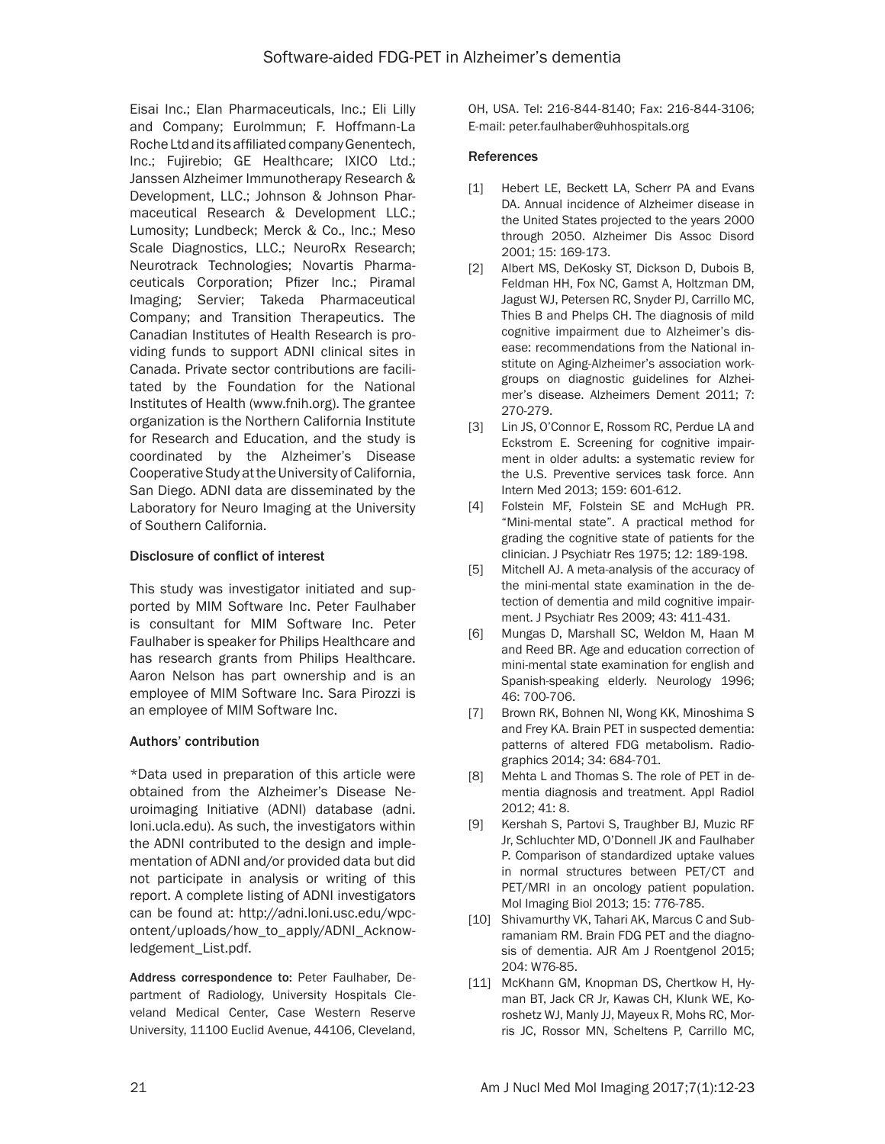Eisai Inc.; Elan Pharmaceuticals, Inc.; Eli Lilly and Company; Eurolmmun; F. Hoffmann-La Roche Ltd and its affiliated company Genentech, Inc.; Fujirebio; GE Healthcare; IXICO Ltd.; Janssen Alzheimer Immunotherapy Research & Development, LLC.; Johnson & Johnson Pharmaceutical Research & Development LLC.; Lumosity; Lundbeck; Merck & Co., Inc.; Meso Scale Diagnostics, LLC.; NeuroRx Research; Neurotrack Technologies; Novartis Pharmaceuticals Corporation; Pfizer Inc.; Piramal Imaging; Servier; Takeda Pharmaceutical Company; and Transition Therapeutics. The Canadian Institutes of Health Research is providing funds to support ADNI clinical sites in Canada. Private sector contributions are facilitated by the Foundation for the National Institutes of Health (www.fnih.org). The grantee organization is the Northern California Institute for Research and Education, and the study is coordinated by the Alzheimer's Disease Cooperative Study at the University of California, San Diego. ADNI data are disseminated by the Laboratory for Neuro Imaging at the University of Southern California.

## Disclosure of conflict of interest

This study was investigator initiated and supported by MIM Software Inc. Peter Faulhaber is consultant for MIM Software Inc. Peter Faulhaber is speaker for Philips Healthcare and has research grants from Philips Healthcare. Aaron Nelson has part ownership and is an employee of MIM Software Inc. Sara Pirozzi is an employee of MIM Software Inc.

#### Authors' contribution

\*Data used in preparation of this article were obtained from the Alzheimer's Disease Neuroimaging Initiative (ADNI) database (adni. loni.ucla.edu). As such, the investigators within the ADNI contributed to the design and implementation of ADNI and/or provided data but did not participate in analysis or writing of this report. A complete listing of ADNI investigators can be found at: http://adni.loni.usc.edu/wpcontent/uploads/how\_to\_apply/ADNI\_Acknowledgement\_List.pdf.

Address correspondence to: Peter Faulhaber, Department of Radiology, University Hospitals Cleveland Medical Center, Case Western Reserve University, 11100 Euclid Avenue, 44106, Cleveland, OH, USA. Tel: 216-844-8140; Fax: 216-844-3106; E-mail: [peter.faulhaber@uhhospitals.org](mailto:peter.faulhaber@uhhospitals.org)

#### References

- [1] Hebert LE, Beckett LA, Scherr PA and Evans DA. Annual incidence of Alzheimer disease in the United States projected to the years 2000 through 2050. Alzheimer Dis Assoc Disord 2001; 15: 169-173.
- [2] Albert MS, DeKosky ST, Dickson D, Dubois B, Feldman HH, Fox NC, Gamst A, Holtzman DM, Jagust WJ, Petersen RC, Snyder PJ, Carrillo MC, Thies B and Phelps CH. The diagnosis of mild cognitive impairment due to Alzheimer's disease: recommendations from the National institute on Aging-Alzheimer's association workgroups on diagnostic guidelines for Alzheimer's disease. Alzheimers Dement 2011; 7: 270-279.
- [3] Lin JS, O'Connor E, Rossom RC, Perdue LA and Eckstrom E. Screening for cognitive impairment in older adults: a systematic review for the U.S. Preventive services task force. Ann Intern Med 2013; 159: 601-612.
- [4] Folstein MF, Folstein SE and McHugh PR. "Mini-mental state". A practical method for grading the cognitive state of patients for the clinician. J Psychiatr Res 1975; 12: 189-198.
- [5] Mitchell AJ. A meta-analysis of the accuracy of the mini-mental state examination in the detection of dementia and mild cognitive impairment. J Psychiatr Res 2009; 43: 411-431.
- [6] Mungas D, Marshall SC, Weldon M, Haan M and Reed BR. Age and education correction of mini-mental state examination for english and Spanish-speaking elderly. Neurology 1996; 46: 700-706.
- [7] Brown RK, Bohnen NI, Wong KK, Minoshima S and Frey KA. Brain PET in suspected dementia: patterns of altered FDG metabolism. Radiographics 2014; 34: 684-701.
- [8] Mehta L and Thomas S. The role of PET in dementia diagnosis and treatment. Appl Radiol 2012; 41: 8.
- [9] Kershah S, Partovi S, Traughber BJ, Muzic RF Jr, Schluchter MD, O'Donnell JK and Faulhaber P. Comparison of standardized uptake values in normal structures between PET/CT and PET/MRI in an oncology patient population. Mol Imaging Biol 2013; 15: 776-785.
- [10] Shivamurthy VK, Tahari AK, Marcus C and Subramaniam RM. Brain FDG PET and the diagnosis of dementia. AJR Am J Roentgenol 2015; 204: W76-85.
- [11] McKhann GM, Knopman DS, Chertkow H, Hyman BT, Jack CR Jr, Kawas CH, Klunk WE, Koroshetz WJ, Manly JJ, Mayeux R, Mohs RC, Morris JC, Rossor MN, Scheltens P, Carrillo MC,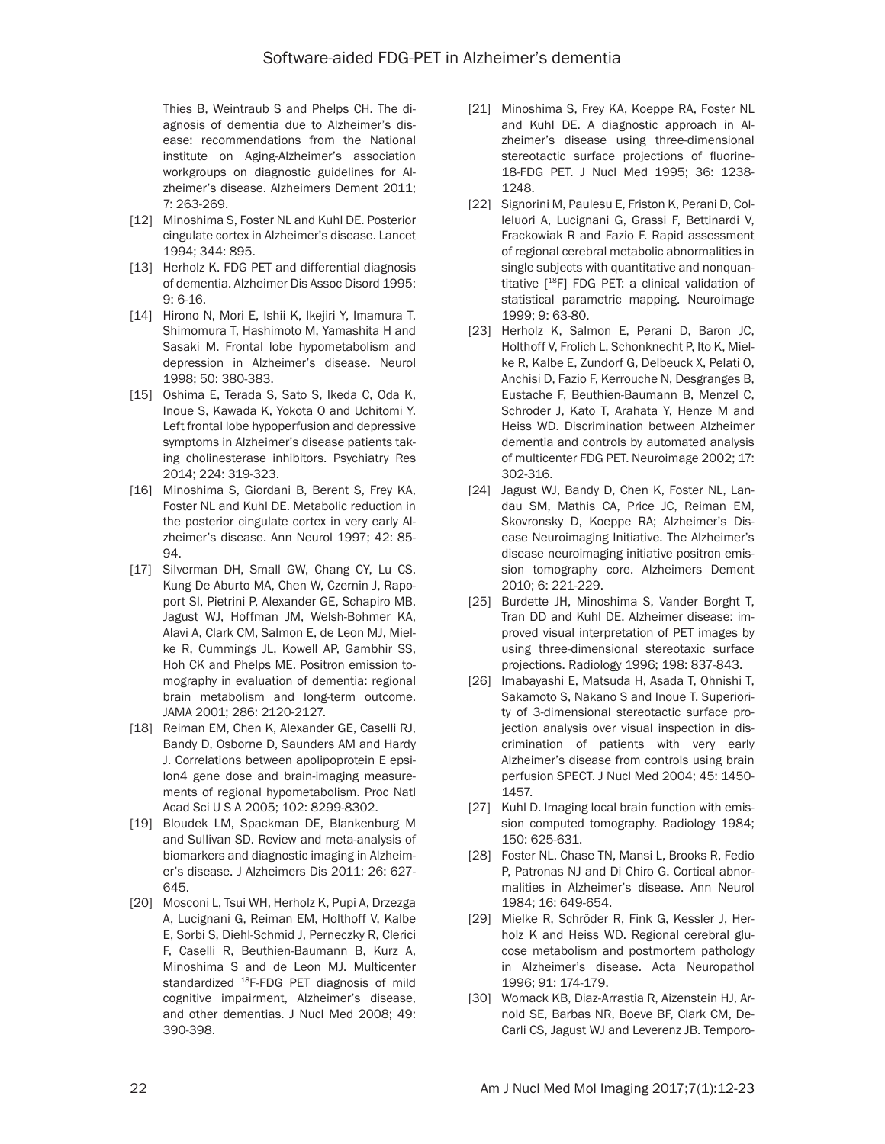Thies B, Weintraub S and Phelps CH. The diagnosis of dementia due to Alzheimer's disease: recommendations from the National institute on Aging-Alzheimer's association workgroups on diagnostic guidelines for Alzheimer's disease. Alzheimers Dement 2011; 7: 263-269.

- [12] Minoshima S, Foster NL and Kuhl DE. Posterior cingulate cortex in Alzheimer's disease. Lancet 1994; 344: 895.
- [13] Herholz K. FDG PET and differential diagnosis of dementia. Alzheimer Dis Assoc Disord 1995;  $9.6 - 16$
- [14] Hirono N, Mori E, Ishii K, Ikejiri Y, Imamura T, Shimomura T, Hashimoto M, Yamashita H and Sasaki M. Frontal lobe hypometabolism and depression in Alzheimer's disease. Neurol 1998; 50: 380-383.
- [15] Oshima E, Terada S, Sato S, Ikeda C, Oda K, Inoue S, Kawada K, Yokota O and Uchitomi Y. Left frontal lobe hypoperfusion and depressive symptoms in Alzheimer's disease patients taking cholinesterase inhibitors. Psychiatry Res 2014; 224: 319-323.
- [16] Minoshima S, Giordani B, Berent S, Frey KA, Foster NL and Kuhl DE. Metabolic reduction in the posterior cingulate cortex in very early Alzheimer's disease. Ann Neurol 1997; 42: 85-  $94.$
- [17] Silverman DH, Small GW, Chang CY, Lu CS, Kung De Aburto MA, Chen W, Czernin J, Rapoport SI, Pietrini P, Alexander GE, Schapiro MB, Jagust WJ, Hoffman JM, Welsh-Bohmer KA, Alavi A, Clark CM, Salmon E, de Leon MJ, Mielke R, Cummings JL, Kowell AP, Gambhir SS, Hoh CK and Phelps ME. Positron emission tomography in evaluation of dementia: regional brain metabolism and long-term outcome. JAMA 2001; 286: 2120-2127.
- [18] Reiman EM, Chen K, Alexander GE, Caselli RJ, Bandy D, Osborne D, Saunders AM and Hardy J. Correlations between apolipoprotein E epsilon4 gene dose and brain-imaging measurements of regional hypometabolism. Proc Natl Acad Sci U S A 2005; 102: 8299-8302.
- [19] Bloudek LM, Spackman DE, Blankenburg M and Sullivan SD. Review and meta-analysis of biomarkers and diagnostic imaging in Alzheimer's disease. J Alzheimers Dis 2011; 26: 627- 645.
- [20] Mosconi L, Tsui WH, Herholz K, Pupi A, Drzezga A, Lucignani G, Reiman EM, Holthoff V, Kalbe E, Sorbi S, Diehl-Schmid J, Perneczky R, Clerici F, Caselli R, Beuthien-Baumann B, Kurz A, Minoshima S and de Leon MJ. Multicenter standardized <sup>18</sup>F-FDG PET diagnosis of mild cognitive impairment, Alzheimer's disease, and other dementias. J Nucl Med 2008; 49: 390-398.
- [21] Minoshima S, Frey KA, Koeppe RA, Foster NL and Kuhl DE. A diagnostic approach in Alzheimer's disease using three-dimensional stereotactic surface projections of fluorine-18-FDG PET. J Nucl Med 1995; 36: 1238- 1248.
- [22] Signorini M, Paulesu E, Friston K, Perani D, Colleluori A, Lucignani G, Grassi F, Bettinardi V, Frackowiak R and Fazio F. Rapid assessment of regional cerebral metabolic abnormalities in single subjects with quantitative and nonquantitative [18F] FDG PET: a clinical validation of statistical parametric mapping. Neuroimage 1999; 9: 63-80.
- [23] Herholz K, Salmon E, Perani D, Baron JC, Holthoff V, Frolich L, Schonknecht P, Ito K, Mielke R, Kalbe E, Zundorf G, Delbeuck X, Pelati O, Anchisi D, Fazio F, Kerrouche N, Desgranges B, Eustache F, Beuthien-Baumann B, Menzel C, Schroder J, Kato T, Arahata Y, Henze M and Heiss WD. Discrimination between Alzheimer dementia and controls by automated analysis of multicenter FDG PET. Neuroimage 2002; 17: 302-316.
- [24] Jagust WJ, Bandy D, Chen K, Foster NL, Landau SM, Mathis CA, Price JC, Reiman EM, Skovronsky D, Koeppe RA; Alzheimer's Disease Neuroimaging Initiative. The Alzheimer's disease neuroimaging initiative positron emission tomography core. Alzheimers Dement 2010; 6: 221-229.
- [25] Burdette JH, Minoshima S, Vander Borght T, Tran DD and Kuhl DE. Alzheimer disease: improved visual interpretation of PET images by using three-dimensional stereotaxic surface projections. Radiology 1996; 198: 837-843.
- [26] Imabayashi E, Matsuda H, Asada T, Ohnishi T, Sakamoto S, Nakano S and Inoue T. Superiority of 3-dimensional stereotactic surface projection analysis over visual inspection in discrimination of patients with very early Alzheimer's disease from controls using brain perfusion SPECT. J Nucl Med 2004; 45: 1450- 1457.
- [27] Kuhl D. Imaging local brain function with emission computed tomography. Radiology 1984; 150: 625-631.
- [28] Foster NL, Chase TN, Mansi L, Brooks R, Fedio P, Patronas NJ and Di Chiro G. Cortical abnormalities in Alzheimer's disease. Ann Neurol 1984; 16: 649-654.
- [29] Mielke R, Schröder R, Fink G, Kessler J, Herholz K and Heiss WD. Regional cerebral glucose metabolism and postmortem pathology in Alzheimer's disease. Acta Neuropathol 1996; 91: 174-179.
- [30] Womack KB, Diaz-Arrastia R, Aizenstein HJ, Arnold SE, Barbas NR, Boeve BF, Clark CM, De-Carli CS, Jagust WJ and Leverenz JB. Temporo-